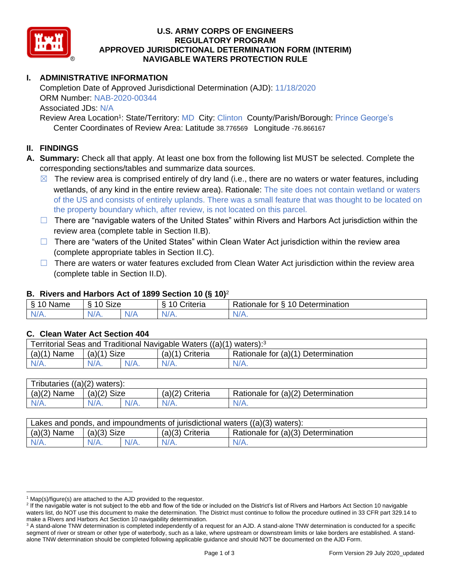

### **U.S. ARMY CORPS OF ENGINEERS REGULATORY PROGRAM APPROVED JURISDICTIONAL DETERMINATION FORM (INTERIM) NAVIGABLE WATERS PROTECTION RULE**

# **I. ADMINISTRATIVE INFORMATION**

Completion Date of Approved Jurisdictional Determination (AJD): 11/18/2020 ORM Number: NAB-2020-00344 Associated JDs: N/A

Review Area Location<sup>1</sup>: State/Territory: MD City: Clinton County/Parish/Borough: Prince George's Center Coordinates of Review Area: Latitude 38.776569 Longitude -76.866167

### **II. FINDINGS**

- **A. Summary:** Check all that apply. At least one box from the following list MUST be selected. Complete the corresponding sections/tables and summarize data sources.
	- $\boxtimes$  The review area is comprised entirely of dry land (i.e., there are no waters or water features, including wetlands, of any kind in the entire review area). Rationale: The site does not contain wetland or waters of the US and consists of entirely uplands. There was a small feature that was thought to be located on the property boundary which, after review, is not located on this parcel.
	- ☐ There are "navigable waters of the United States" within Rivers and Harbors Act jurisdiction within the review area (complete table in Section II.B).
	- □ There are "waters of the United States" within Clean Water Act jurisdiction within the review area (complete appropriate tables in Section II.C).
	- $\Box$  There are waters or water features excluded from Clean Water Act jurisdiction within the review area (complete table in Section II.D).

### **B. Rivers and Harbors Act of 1899 Section 10 (§ 10)**<sup>2</sup>

| Name<br>Ø. | $\ddot{\phantom{1}}$<br>$\sqrt{ }$<br>SIZE |      | $\cdot$<br>triteria | 10<br>Determination<br>Rationale for<br>$\ddot{\phantom{1}}$ |
|------------|--------------------------------------------|------|---------------------|--------------------------------------------------------------|
| N/         | $N/A$ .                                    | NI/A | WA.                 | <b>W/</b> <i>I</i> <b>V v</b>                                |

## **C. Clean Water Act Section 404**

| Territorial Seas and Traditional Navigable Waters $((a)(1)$ waters): <sup>3</sup> |                            |  |                   |                                    |  |
|-----------------------------------------------------------------------------------|----------------------------|--|-------------------|------------------------------------|--|
| (a)(1)<br>Name                                                                    | Size<br>(a)(1 <sup>)</sup> |  | $(a)(1)$ Criteria | Rationale for (a)(1) Determination |  |
| $N/A$ .                                                                           | $N/A$ .                    |  | $N/A$ .           | $N/A$ .                            |  |

| Tributaries $((a)(2)$ waters): |               |         |                 |                                    |  |
|--------------------------------|---------------|---------|-----------------|------------------------------------|--|
| $(a)(2)$ Name                  | $(a)(2)$ Size |         | (a)(2) Criteria | Rationale for (a)(2) Determination |  |
| $N/A$ .                        | $N/A$ .       | $N/A$ . | $N/A$ .         | N/A.                               |  |

| Lakes and ponds, and impoundments of jurisdictional waters $((a)(3)$ waters): |               |  |                   |                                    |  |
|-------------------------------------------------------------------------------|---------------|--|-------------------|------------------------------------|--|
| $(a)(3)$ Name                                                                 | $(a)(3)$ Size |  | $(a)(3)$ Criteria | Rationale for (a)(3) Determination |  |
|                                                                               | $N/A$ .       |  |                   | $N/A$ .                            |  |

 $1$  Map(s)/figure(s) are attached to the AJD provided to the requestor.

<sup>&</sup>lt;sup>2</sup> If the navigable water is not subject to the ebb and flow of the tide or included on the District's list of Rivers and Harbors Act Section 10 navigable waters list, do NOT use this document to make the determination. The District must continue to follow the procedure outlined in 33 CFR part 329.14 to make a Rivers and Harbors Act Section 10 navigability determination.

<sup>&</sup>lt;sup>3</sup> A stand-alone TNW determination is completed independently of a request for an AJD. A stand-alone TNW determination is conducted for a specific segment of river or stream or other type of waterbody, such as a lake, where upstream or downstream limits or lake borders are established. A standalone TNW determination should be completed following applicable guidance and should NOT be documented on the AJD Form.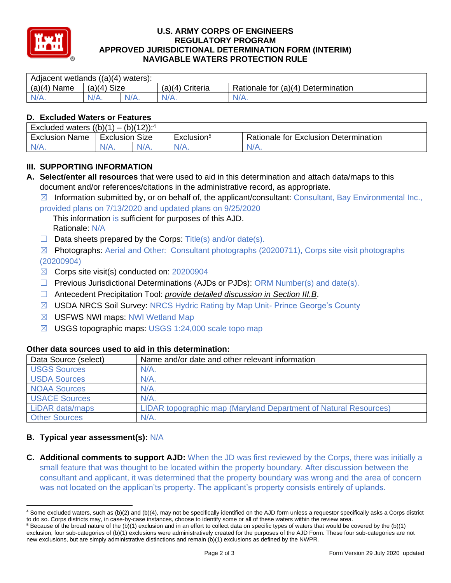

### **U.S. ARMY CORPS OF ENGINEERS REGULATORY PROGRAM APPROVED JURISDICTIONAL DETERMINATION FORM (INTERIM) NAVIGABLE WATERS PROTECTION RULE**

| Adjacent wetlands $((a)(4)$ waters): |                |  |                    |                                    |  |  |
|--------------------------------------|----------------|--|--------------------|------------------------------------|--|--|
| (a)(4)<br>Name                       | Size<br>(a)(4) |  | Criteria<br>(a)(4) | Rationale for (a)(4) Determination |  |  |
| IN/A.                                | $N/A$ .        |  | 17 L.              | N/A.                               |  |  |

# **D. Excluded Waters or Features**

| Excluded waters ((b)(1)<br>$(b)(12))$ : <sup>4</sup><br>$\mathbf{r}$ |                          |         |                        |                                              |  |
|----------------------------------------------------------------------|--------------------------|---------|------------------------|----------------------------------------------|--|
| Exclusion<br>Name                                                    | <b>Size</b><br>Exclusion |         | Exclusion <sup>5</sup> | <b>Rationale for Exclusion Determination</b> |  |
| $N/A$ .                                                              | N/A.                     | $N/A$ . | $N/A$ .                | $N/A$ .                                      |  |

# **III. SUPPORTING INFORMATION**

- **A. Select/enter all resources** that were used to aid in this determination and attach data/maps to this document and/or references/citations in the administrative record, as appropriate.
	- $\boxtimes$  Information submitted by, or on behalf of, the applicant/consultant: Consultant, Bay Environmental Inc., provided plans on 7/13/2020 and updated plans on 9/25/2020

This information is sufficient for purposes of this AJD.

Rationale: N/A

- $\Box$  Data sheets prepared by the Corps: Title(s) and/or date(s).
- $\boxtimes$  Photographs: Aerial and Other: Consultant photographs (20200711), Corps site visit photographs (20200904)
- $\boxtimes$  Corps site visit(s) conducted on: 20200904
- $\Box$  Previous Jurisdictional Determinations (AJDs or PJDs): ORM Number(s) and date(s).
- ☐ Antecedent Precipitation Tool: *provide detailed discussion in Section III.B*.
- ☒ USDA NRCS Soil Survey: NRCS Hydric Rating by Map Unit- Prince George's County
- ☒ USFWS NWI maps: NWI Wetland Map
- ☒ USGS topographic maps: USGS 1:24,000 scale topo map

| Data Source (select) | Name and/or date and other relevant information                  |
|----------------------|------------------------------------------------------------------|
| <b>USGS Sources</b>  | $N/A$ .                                                          |
| <b>USDA Sources</b>  | $N/A$ .                                                          |
| <b>NOAA Sources</b>  | N/A                                                              |
| <b>USACE Sources</b> | $N/A$ .                                                          |
| LiDAR data/maps      | LIDAR topographic map (Maryland Department of Natural Resources) |
| <b>Other Sources</b> | $N/A$ .                                                          |

# **Other data sources used to aid in this determination:**

## **B. Typical year assessment(s):** N/A

**C. Additional comments to support AJD:** When the JD was first reviewed by the Corps, there was initially a small feature that was thought to be located within the property boundary. After discussion between the consultant and applicant, it was determined that the property boundary was wrong and the area of concern was not located on the applican'ts property. The applicant's property consists entirely of uplands.

<sup>4</sup> Some excluded waters, such as (b)(2) and (b)(4), may not be specifically identified on the AJD form unless a requestor specifically asks a Corps district to do so. Corps districts may, in case-by-case instances, choose to identify some or all of these waters within the review area.

 $5$  Because of the broad nature of the (b)(1) exclusion and in an effort to collect data on specific types of waters that would be covered by the (b)(1) exclusion, four sub-categories of (b)(1) exclusions were administratively created for the purposes of the AJD Form. These four sub-categories are not new exclusions, but are simply administrative distinctions and remain (b)(1) exclusions as defined by the NWPR.